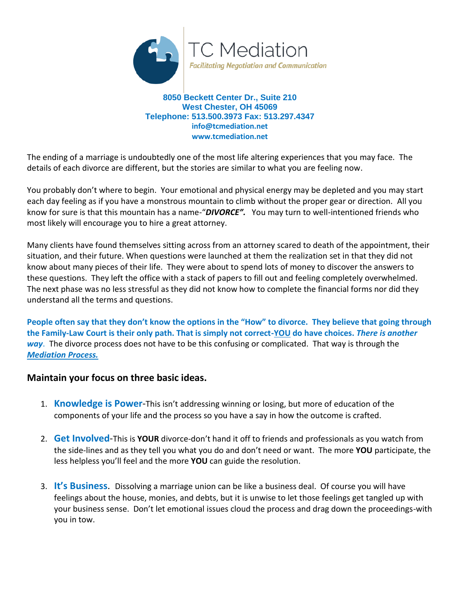

**8050 Beckett Center Dr., Suite 210 West Chester, OH 45069 Telephone: 513.500.3973 Fax: 513.297.4347 info@tcmediation.net www.tcmediation.net**

The ending of a marriage is undoubtedly one of the most life altering experiences that you may face. The details of each divorce are different, but the stories are similar to what you are feeling now.

You probably don't where to begin. Your emotional and physical energy may be depleted and you may start each day feeling as if you have a monstrous mountain to climb without the proper gear or direction. All you know for sure is that this mountain has a name-"*DIVORCE".* You may turn to well-intentioned friends who most likely will encourage you to hire a great attorney.

Many clients have found themselves sitting across from an attorney scared to death of the appointment, their situation, and their future. When questions were launched at them the realization set in that they did not know about many pieces of their life. They were about to spend lots of money to discover the answers to these questions. They left the office with a stack of papers to fill out and feeling completely overwhelmed. The next phase was no less stressful as they did not know how to complete the financial forms nor did they understand all the terms and questions.

**People often say that they don't know the options in the "How" to divorce. They believe that going through the Family-Law Court is their only path. That is simply not correct-YOU do have choices.** *There is another way*. The divorce process does not have to be this confusing or complicated. That way is through the *Mediation Process.*

## **Maintain your focus on three basic ideas.**

- 1. **Knowledge is Power**-This isn't addressing winning or losing, but more of education of the components of your life and the process so you have a say in how the outcome is crafted.
- 2. **Get Involved**-This is **YOUR** divorce-don't hand it off to friends and professionals as you watch from the side-lines and as they tell you what you do and don't need or want. The more **YOU** participate, the less helpless you'll feel and the more **YOU** can guide the resolution.
- 3. **It's Business**. Dissolving a marriage union can be like a business deal. Of course you will have feelings about the house, monies, and debts, but it is unwise to let those feelings get tangled up with your business sense. Don't let emotional issues cloud the process and drag down the proceedings-with you in tow.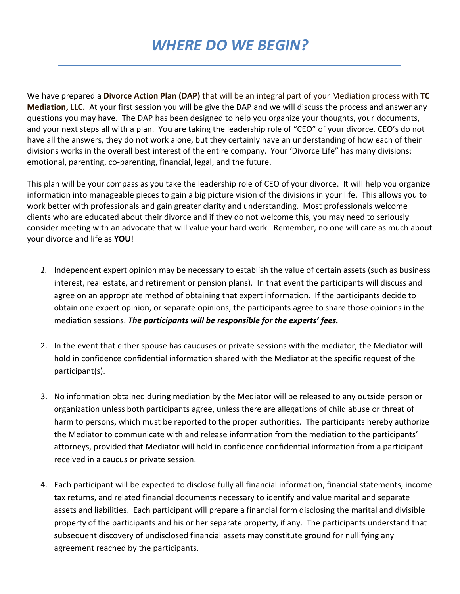## *WHERE DO WE BEGIN?*

We have prepared a **Divorce Action Plan (DAP)** that will be an integral part of your Mediation process with **TC Mediation, LLC.** At your first session you will be give the DAP and we will discuss the process and answer any questions you may have. The DAP has been designed to help you organize your thoughts, your documents, and your next steps all with a plan. You are taking the leadership role of "CEO" of your divorce. CEO's do not have all the answers, they do not work alone, but they certainly have an understanding of how each of their divisions works in the overall best interest of the entire company. Your 'Divorce Life" has many divisions: emotional, parenting, co-parenting, financial, legal, and the future.

This plan will be your compass as you take the leadership role of CEO of your divorce. It will help you organize information into manageable pieces to gain a big picture vision of the divisions in your life. This allows you to work better with professionals and gain greater clarity and understanding. Most professionals welcome clients who are educated about their divorce and if they do not welcome this, you may need to seriously consider meeting with an advocate that will value your hard work. Remember, no one will care as much about your divorce and life as **YOU**!

- *1.* Independent expert opinion may be necessary to establish the value of certain assets (such as business interest, real estate, and retirement or pension plans). In that event the participants will discuss and agree on an appropriate method of obtaining that expert information. If the participants decide to obtain one expert opinion, or separate opinions, the participants agree to share those opinions in the mediation sessions. *The participants will be responsible for the experts' fees.*
- 2. In the event that either spouse has caucuses or private sessions with the mediator, the Mediator will hold in confidence confidential information shared with the Mediator at the specific request of the participant(s).
- 3. No information obtained during mediation by the Mediator will be released to any outside person or organization unless both participants agree, unless there are allegations of child abuse or threat of harm to persons, which must be reported to the proper authorities. The participants hereby authorize the Mediator to communicate with and release information from the mediation to the participants' attorneys, provided that Mediator will hold in confidence confidential information from a participant received in a caucus or private session.
- 4. Each participant will be expected to disclose fully all financial information, financial statements, income tax returns, and related financial documents necessary to identify and value marital and separate assets and liabilities. Each participant will prepare a financial form disclosing the marital and divisible property of the participants and his or her separate property, if any. The participants understand that subsequent discovery of undisclosed financial assets may constitute ground for nullifying any agreement reached by the participants.